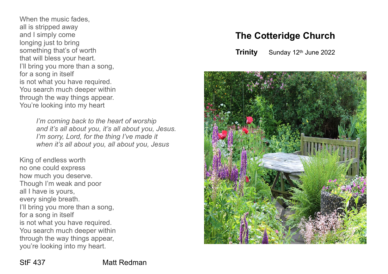When the music fades. all is stripped away and I simply come longing just to bring something that's of worth that will bless your heart. I'll bring you more than a song, for a song in itself is not what you have required. You search much deeper within through the way things appear. You're looking into my heart

> *I'm coming back to the heart of worship and it's all about you, it's all about you, Jesus. I'm sorry, Lord, for the thing I've made it when it's all about you, all about you, Jesus*

King of endless worth no one could express how much you deserve. Though I'm weak and poor all I have is yours, every single breath. I'll bring you more than a song, for a song in itself is not what you have required. You search much deeper within through the way things appear, you're looking into my heart.

## **The Cotteridge Church**

**Trinity** Sunday 12th June 2022